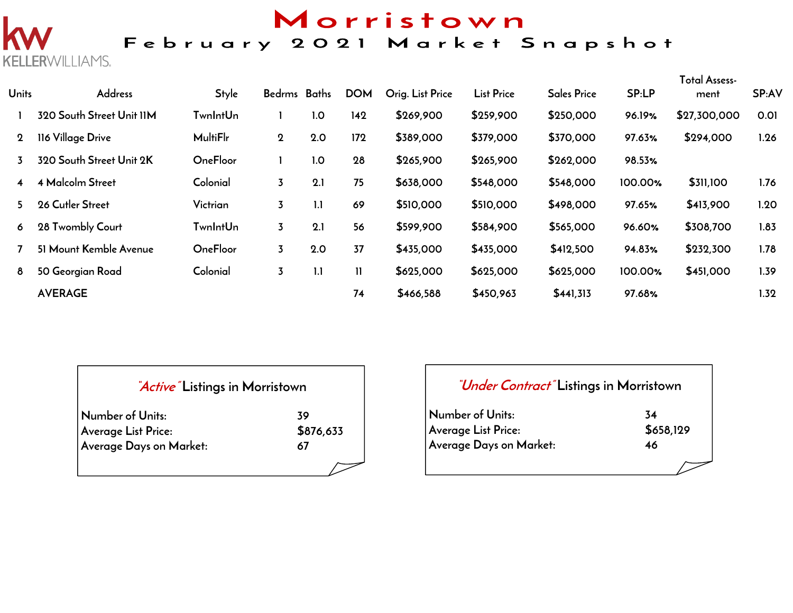# Morristown

### February 2021 Market Snapshot

**Units Address Style Bedrms Baths DOM Orig. List Price List Price Sales Price SP:LP Total Assessment SP:AV 320 South Street Unit 11M TwnIntUn 1 1.0 142 \$269,900 \$259,900 \$250,000 96.19% \$27,300,000 0.01 116 Village Drive MultiFlr 2 2.0 172 \$389,000 \$379,000 \$370,000 97.63% \$294,000 1.26 320 South Street Unit 2K OneFloor 1 1.0 28 \$265,900 \$265,900 \$262,000 98.53% 4 Malcolm Street Colonial 3 2.1 75 \$638,000 \$548,000 \$548,000 100.00% \$311,100 1.76 26 Cutler Street Victrian 3 1.1 69 \$510,000 \$510,000 \$498,000 97.65% \$413,900 1.20 28 Twombly Court TwnIntUn 3 2.1 56 \$599,900 \$584,900 \$565,000 96.60% \$308,700 1.83 51 Mount Kemble Avenue OneFloor 3 2.0 37 \$435,000 \$435,000 \$412,500 94.83% \$232,300 1.78 50 Georgian Road Colonial 3 1.1 11 \$625,000 \$625,000 \$625,000 100.00% \$451,000 1.39 AVERAGE 74 \$466,588 \$450,963 \$441,313 97.68% 1.32**

| <i>Active</i> Listings in Morristown |           |  |  |  |  |  |  |
|--------------------------------------|-----------|--|--|--|--|--|--|
| Number of Units:                     | 39        |  |  |  |  |  |  |
| <b>Average List Price:</b>           | \$876,633 |  |  |  |  |  |  |
| Average Days on Market:              | 67        |  |  |  |  |  |  |
|                                      |           |  |  |  |  |  |  |

**KELLERWILLIAMS.** 

## **"Under Contract" Listings in Morristown**

| Number of Units:        | 34        |
|-------------------------|-----------|
| Average List Price:     | \$658,129 |
| Average Days on Market: | 46        |